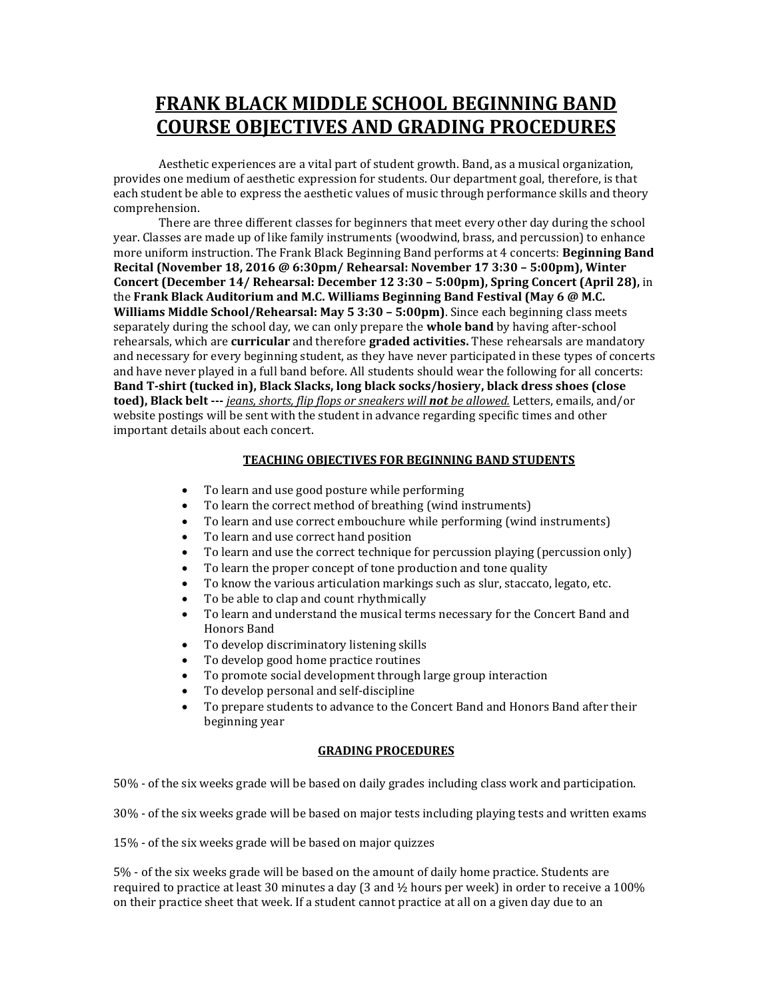## **FRANK BLACK MIDDLE SCHOOL BEGINNING BAND COURSE OBJECTIVES AND GRADING PROCEDURES**

Aesthetic experiences are a vital part of student growth. Band, as a musical organization, provides one medium of aesthetic expression for students. Our department goal, therefore, is that each student be able to express the aesthetic values of music through performance skills and theory comprehension.

There are three different classes for beginners that meet every other day during the school year. Classes are made up of like family instruments (woodwind, brass, and percussion) to enhance more uniform instruction. The Frank Black Beginning Band performs at 4 concerts: **Beginning Band Recital (November 18, 2016 @ 6:30pm/ Rehearsal: November 17 3:30 – 5:00pm), Winter Concert (December 14/ Rehearsal: December 12 3:30 – 5:00pm), Spring Concert (April 28),** in the **Frank Black Auditorium and M.C. Williams Beginning Band Festival (May 6 @ M.C. Williams Middle School/Rehearsal: May 5 3:30 – 5:00pm)**. Since each beginning class meets separately during the school day, we can only prepare the **whole band** by having after-school rehearsals, which are **curricular** and therefore **graded activities.** These rehearsals are mandatory and necessary for every beginning student, as they have never participated in these types of concerts and have never played in a full band before. All students should wear the following for all concerts: **Band T-shirt (tucked in), Black Slacks, long black socks/hosiery, black dress shoes (close toed), Black belt ---** *jeans, shorts, flip flops or sneakers will not be allowed.* Letters, emails, and/or website postings will be sent with the student in advance regarding specific times and other important details about each concert.

## **TEACHING OBJECTIVES FOR BEGINNING BAND STUDENTS**

- To learn and use good posture while performing
- To learn the correct method of breathing (wind instruments)
- To learn and use correct embouchure while performing (wind instruments)
- To learn and use correct hand position
- To learn and use the correct technique for percussion playing (percussion only)
- To learn the proper concept of tone production and tone quality
- To know the various articulation markings such as slur, staccato, legato, etc.
- To be able to clap and count rhythmically
- To learn and understand the musical terms necessary for the Concert Band and Honors Band
- To develop discriminatory listening skills
- To develop good home practice routines
- To promote social development through large group interaction
- To develop personal and self-discipline
- To prepare students to advance to the Concert Band and Honors Band after their beginning year

## **GRADING PROCEDURES**

50% - of the six weeks grade will be based on daily grades including class work and participation.

30% - of the six weeks grade will be based on major tests including playing tests and written exams

15% - of the six weeks grade will be based on major quizzes

5% - of the six weeks grade will be based on the amount of daily home practice. Students are required to practice at least 30 minutes a day (3 and  $\frac{1}{2}$  hours per week) in order to receive a 100% on their practice sheet that week. If a student cannot practice at all on a given day due to an